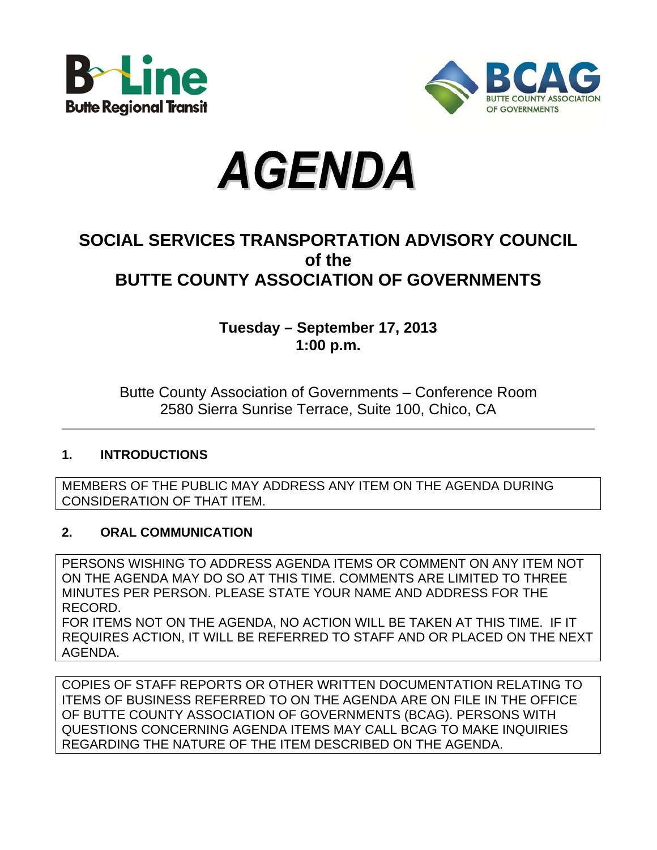





# **SOCIAL SERVICES TRANSPORTATION ADVISORY COUNCIL of the BUTTE COUNTY ASSOCIATION OF GOVERNMENTS**

**Tuesday – September 17, 2013 1:00 p.m.**

Butte County Association of Governments – Conference Room 2580 Sierra Sunrise Terrace, Suite 100, Chico, CA

#### **1. INTRODUCTIONS**

MEMBERS OF THE PUBLIC MAY ADDRESS ANY ITEM ON THE AGENDA DURING CONSIDERATION OF THAT ITEM.

#### **2. ORAL COMMUNICATION**

PERSONS WISHING TO ADDRESS AGENDA ITEMS OR COMMENT ON ANY ITEM NOT ON THE AGENDA MAY DO SO AT THIS TIME. COMMENTS ARE LIMITED TO THREE MINUTES PER PERSON. PLEASE STATE YOUR NAME AND ADDRESS FOR THE RECORD. FOR ITEMS NOT ON THE AGENDA, NO ACTION WILL BE TAKEN AT THIS TIME. IF IT REQUIRES ACTION, IT WILL BE REFERRED TO STAFF AND OR PLACED ON THE NEXT AGENDA.

COPIES OF STAFF REPORTS OR OTHER WRITTEN DOCUMENTATION RELATING TO ITEMS OF BUSINESS REFERRED TO ON THE AGENDA ARE ON FILE IN THE OFFICE OF BUTTE COUNTY ASSOCIATION OF GOVERNMENTS (BCAG). PERSONS WITH QUESTIONS CONCERNING AGENDA ITEMS MAY CALL BCAG TO MAKE INQUIRIES REGARDING THE NATURE OF THE ITEM DESCRIBED ON THE AGENDA.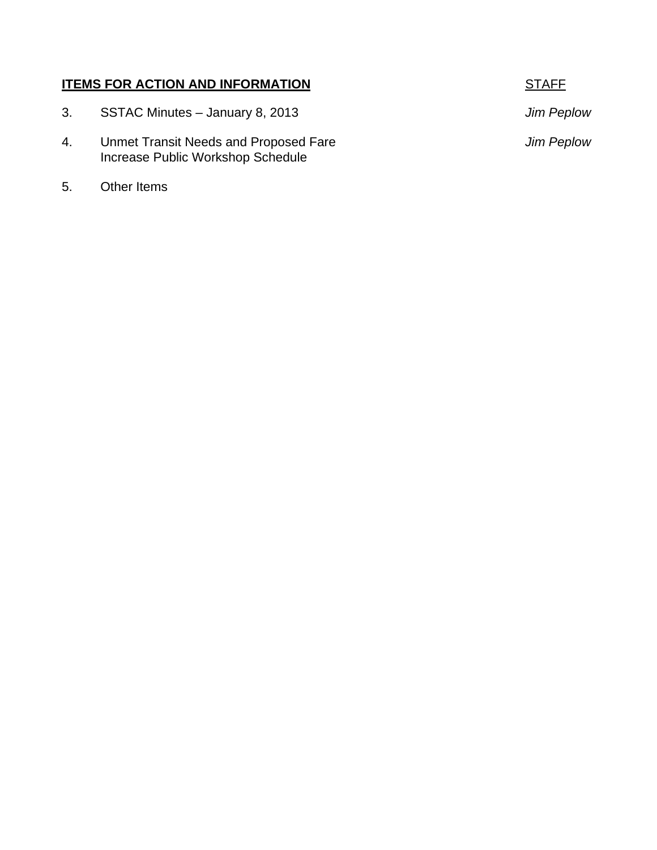#### **ITEMS FOR ACTION AND INFORMATION STAFF**

- 3. SSTAC Minutes January 8, 2013 *Jim Peplow*  4. Unmet Transit Needs and Proposed Fare *Jim Peplow*  Increase Public Workshop Schedule
- 5. Other Items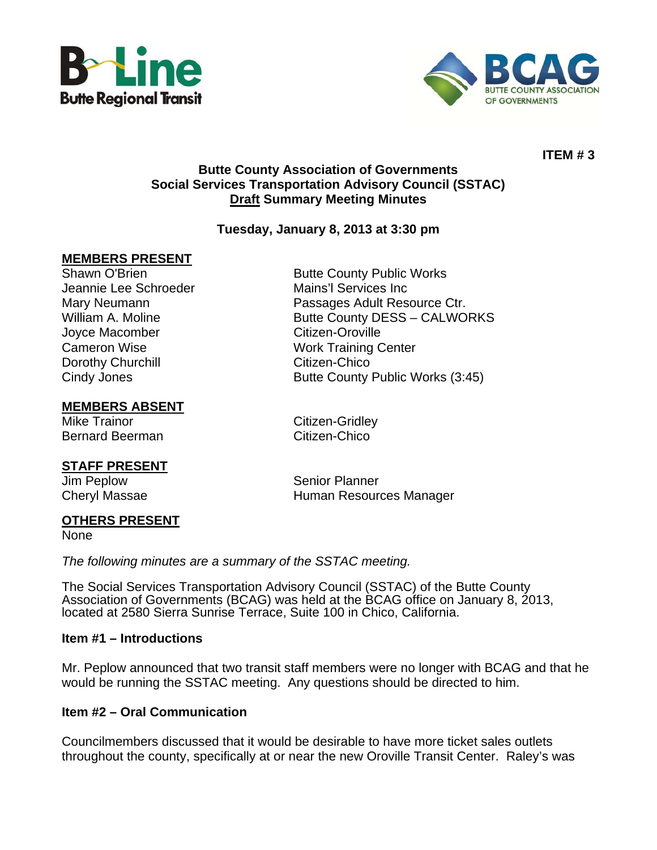



**ITEM # 3** 

#### **Butte County Association of Governments Social Services Transportation Advisory Council (SSTAC) Draft Summary Meeting Minutes**

#### **Tuesday, January 8, 2013 at 3:30 pm**

#### **MEMBERS PRESENT**

Shawn O'Brien **Butte County Public Works** Jeannie Lee Schroeder Mains'l Services Inc Joyce Macomber **Citizen-Oroville** Cameron Wise Work Training Center Dorothy Churchill **Changes** Citizen-Chico

#### **MEMBERS ABSENT**

Mike Trainor Citizen-Gridley Bernard Beerman Citizen-Chico

#### **STAFF PRESENT**

Mary Neumann Passages Adult Resource Ctr. William A. Moline **Butte County DESS – CALWORKS** Cindy Jones **Butte County Public Works (3:45)** 

Jim Peplow Senior Planner Cheryl Massae **Human Resources Manager Human Resources Manager** 

#### **OTHERS PRESENT**

None

*The following minutes are a summary of the SSTAC meeting.* 

The Social Services Transportation Advisory Council (SSTAC) of the Butte County Association of Governments (BCAG) was held at the BCAG office on January 8, 2013, located at 2580 Sierra Sunrise Terrace, Suite 100 in Chico, California.

#### **Item #1 – Introductions**

Mr. Peplow announced that two transit staff members were no longer with BCAG and that he would be running the SSTAC meeting. Any questions should be directed to him.

#### **Item #2 – Oral Communication**

Councilmembers discussed that it would be desirable to have more ticket sales outlets throughout the county, specifically at or near the new Oroville Transit Center. Raley's was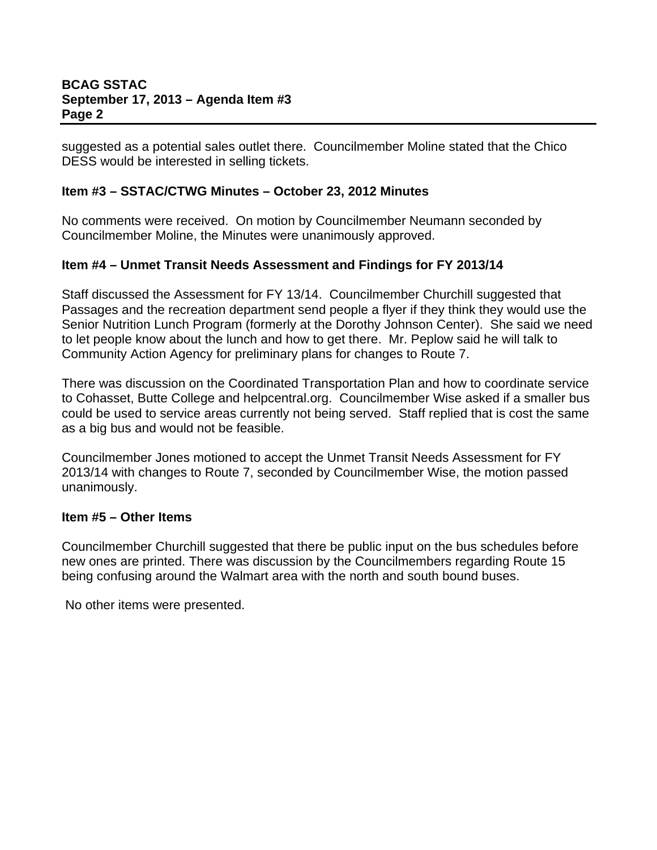suggested as a potential sales outlet there. Councilmember Moline stated that the Chico DESS would be interested in selling tickets.

#### **Item #3 – SSTAC/CTWG Minutes – October 23, 2012 Minutes**

No comments were received. On motion by Councilmember Neumann seconded by Councilmember Moline, the Minutes were unanimously approved.

#### **Item #4 – Unmet Transit Needs Assessment and Findings for FY 2013/14**

Staff discussed the Assessment for FY 13/14. Councilmember Churchill suggested that Passages and the recreation department send people a flyer if they think they would use the Senior Nutrition Lunch Program (formerly at the Dorothy Johnson Center). She said we need to let people know about the lunch and how to get there. Mr. Peplow said he will talk to Community Action Agency for preliminary plans for changes to Route 7.

There was discussion on the Coordinated Transportation Plan and how to coordinate service to Cohasset, Butte College and helpcentral.org. Councilmember Wise asked if a smaller bus could be used to service areas currently not being served. Staff replied that is cost the same as a big bus and would not be feasible.

Councilmember Jones motioned to accept the Unmet Transit Needs Assessment for FY 2013/14 with changes to Route 7, seconded by Councilmember Wise, the motion passed unanimously.

#### **Item #5 – Other Items**

Councilmember Churchill suggested that there be public input on the bus schedules before new ones are printed. There was discussion by the Councilmembers regarding Route 15 being confusing around the Walmart area with the north and south bound buses.

No other items were presented.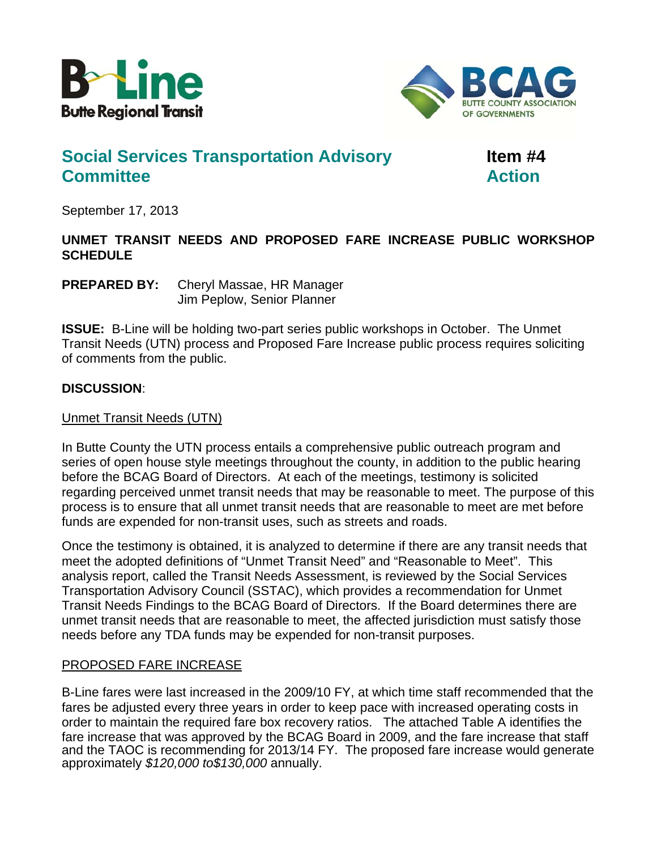



# **Social Services Transportation Advisory Item #4 Committee Action Committee Action**

September 17, 2013

#### **UNMET TRANSIT NEEDS AND PROPOSED FARE INCREASE PUBLIC WORKSHOP SCHEDULE**

**PREPARED BY:** Cheryl Massae, HR Manager Jim Peplow, Senior Planner

**ISSUE:** B-Line will be holding two-part series public workshops in October. The Unmet Transit Needs (UTN) process and Proposed Fare Increase public process requires soliciting of comments from the public.

#### **DISCUSSION**:

Unmet Transit Needs (UTN)

In Butte County the UTN process entails a comprehensive public outreach program and series of open house style meetings throughout the county, in addition to the public hearing before the BCAG Board of Directors. At each of the meetings, testimony is solicited regarding perceived unmet transit needs that may be reasonable to meet. The purpose of this process is to ensure that all unmet transit needs that are reasonable to meet are met before funds are expended for non-transit uses, such as streets and roads.

Once the testimony is obtained, it is analyzed to determine if there are any transit needs that meet the adopted definitions of "Unmet Transit Need" and "Reasonable to Meet". This analysis report, called the Transit Needs Assessment, is reviewed by the Social Services Transportation Advisory Council (SSTAC), which provides a recommendation for Unmet Transit Needs Findings to the BCAG Board of Directors. If the Board determines there are unmet transit needs that are reasonable to meet, the affected jurisdiction must satisfy those needs before any TDA funds may be expended for non-transit purposes.

#### PROPOSED FARE INCREASE

B-Line fares were last increased in the 2009/10 FY, at which time staff recommended that the fares be adjusted every three years in order to keep pace with increased operating costs in order to maintain the required fare box recovery ratios. The attached Table A identifies the fare increase that was approved by the BCAG Board in 2009, and the fare increase that staff and the TAOC is recommending for 2013/14 FY. The proposed fare increase would generate approximately *\$120,000 to\$130,000* annually.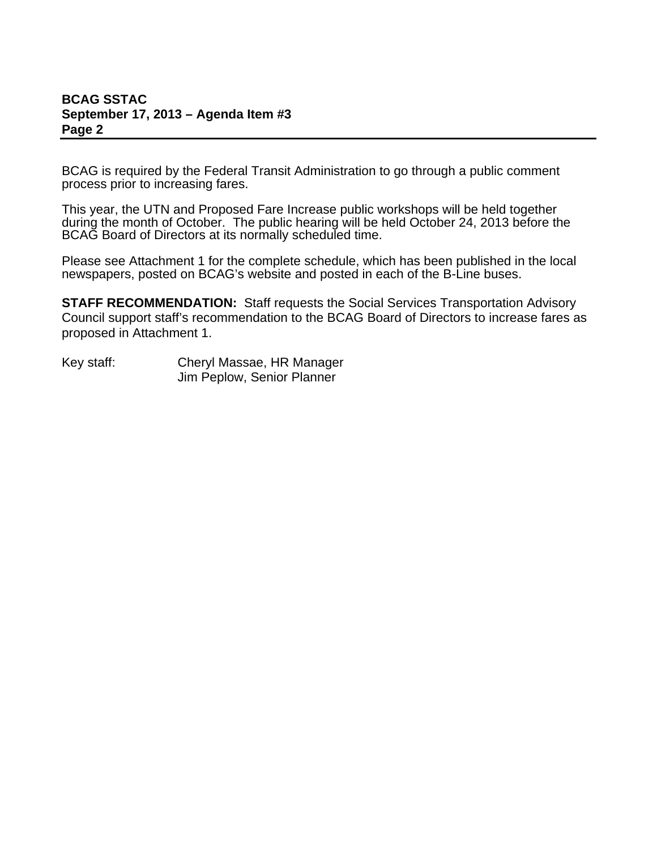#### **BCAG SSTAC September 17, 2013 – Agenda Item #3 Page 2**

BCAG is required by the Federal Transit Administration to go through a public comment process prior to increasing fares.

This year, the UTN and Proposed Fare Increase public workshops will be held together during the month of October. The public hearing will be held October 24, 2013 before the BCAG Board of Directors at its normally scheduled time.

Please see Attachment 1 for the complete schedule, which has been published in the local newspapers, posted on BCAG's website and posted in each of the B-Line buses.

**STAFF RECOMMENDATION:** Staff requests the Social Services Transportation Advisory Council support staff's recommendation to the BCAG Board of Directors to increase fares as proposed in Attachment 1.

Key staff: Cheryl Massae, HR Manager Jim Peplow, Senior Planner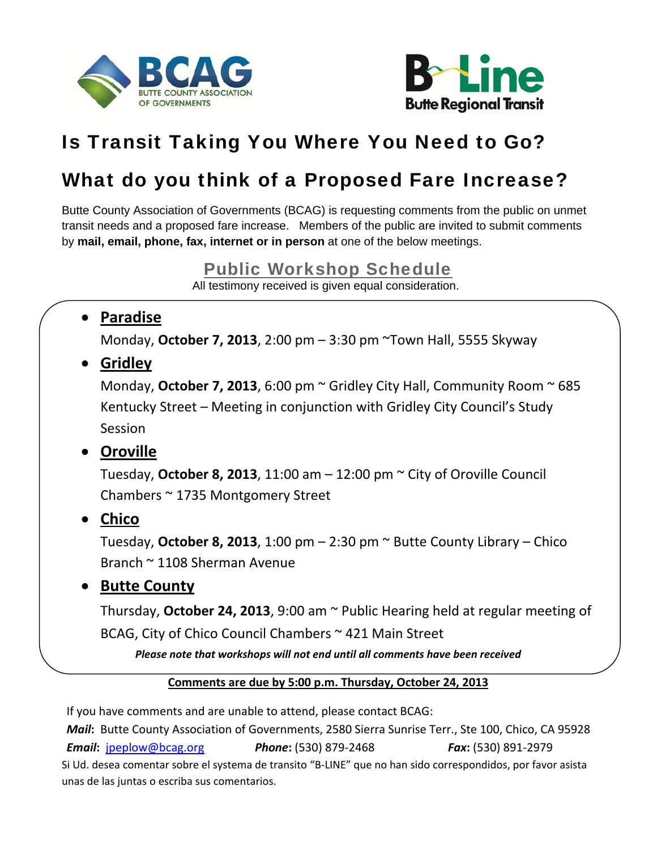



# Is Transit Taking You Where You Need to Go?

# What do you think of a Proposed Fare Increase?

Butte County Association of Governments (BCAG) is requesting comments from the public on unmet transit needs and a proposed fare increase. Members of the public are invited to submit comments by **mail, email, phone, fax, internet or in person** at one of the below meetings.

## Public Workshop Schedule

All testimony received is given equal consideration.

## **Paradise**

Monday, **October 7, 2013**, 2:00 pm – 3:30 pm ~Town Hall, 5555 Skyway

**Gridley**

Monday, **October 7, 2013**, 6:00 pm ~ Gridley City Hall, Community Room ~ 685 Kentucky Street – Meeting in conjunction with Gridley City Council's Study Session

# **Oroville**

Tuesday, **October 8, 2013**, 11:00 am – 12:00 pm ~ City of Oroville Council Chambers ~ 1735 Montgomery Street

**Chico**

Tuesday, **October 8, 2013**, 1:00 pm – 2:30 pm ~ Butte County Library – Chico Branch ~ 1108 Sherman Avenue

# **• Butte County**

Thursday, **October 24, 2013**, 9:00 am ~ Public Hearing held at regular meeting of BCAG, City of Chico Council Chambers ~ 421 Main Street

*Please note that workshops will not end until all comments have been received* 

### **Comments are due by 5:00 p.m. Thursday, October 24, 2013**

If you have comments and are unable to attend, please contact BCAG:

*Mail***:** Butte County Association of Governments, 2580 Sierra Sunrise Terr., Ste 100, Chico, CA 95928 *Email***:** jpeplow@bcag.org *Phone***:** (530) 879‐2468 *Fax***:** (530) 891‐2979 Si Ud. desea comentar sobre el systema de transito "B‐LINE" que no han sido correspondidos, por favor asista unas de las juntas o escriba sus comentarios.